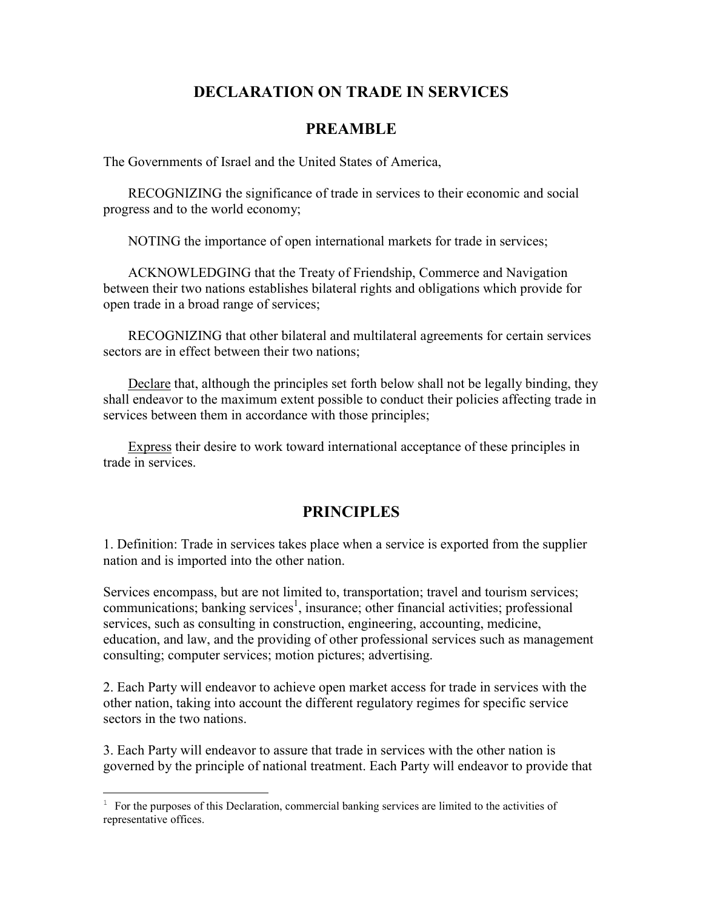## DECLARATION ON TRADE IN SERVICES

## PREAMBLE

The Governments of Israel and the United States of America,

 RECOGNIZING the significance of trade in services to their economic and social progress and to the world economy;

NOTING the importance of open international markets for trade in services;

 ACKNOWLEDGING that the Treaty of Friendship, Commerce and Navigation between their two nations establishes bilateral rights and obligations which provide for open trade in a broad range of services;

 RECOGNIZING that other bilateral and multilateral agreements for certain services sectors are in effect between their two nations;

 Declare that, although the principles set forth below shall not be legally binding, they shall endeavor to the maximum extent possible to conduct their policies affecting trade in services between them in accordance with those principles;

 Express their desire to work toward international acceptance of these principles in trade in services.

## **PRINCIPLES**

1. Definition: Trade in services takes place when a service is exported from the supplier nation and is imported into the other nation.

Services encompass, but are not limited to, transportation; travel and tourism services; communications; banking services<sup>1</sup>, insurance; other financial activities; professional services, such as consulting in construction, engineering, accounting, medicine, education, and law, and the providing of other professional services such as management consulting; computer services; motion pictures; advertising.

2. Each Party will endeavor to achieve open market access for trade in services with the other nation, taking into account the different regulatory regimes for specific service sectors in the two nations.

3. Each Party will endeavor to assure that trade in services with the other nation is governed by the principle of national treatment. Each Party will endeavor to provide that

-

 $1$  For the purposes of this Declaration, commercial banking services are limited to the activities of representative offices.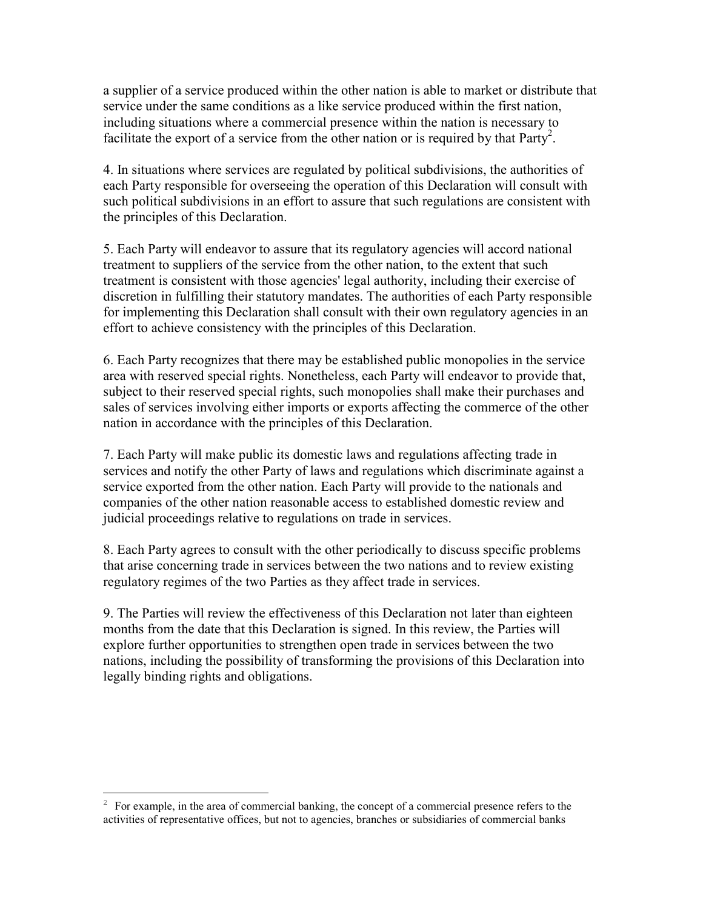a supplier of a service produced within the other nation is able to market or distribute that service under the same conditions as a like service produced within the first nation, including situations where a commercial presence within the nation is necessary to facilitate the export of a service from the other nation or is required by that  $Party^2$ .

4. In situations where services are regulated by political subdivisions, the authorities of each Party responsible for overseeing the operation of this Declaration will consult with such political subdivisions in an effort to assure that such regulations are consistent with the principles of this Declaration.

5. Each Party will endeavor to assure that its regulatory agencies will accord national treatment to suppliers of the service from the other nation, to the extent that such treatment is consistent with those agencies' legal authority, including their exercise of discretion in fulfilling their statutory mandates. The authorities of each Party responsible for implementing this Declaration shall consult with their own regulatory agencies in an effort to achieve consistency with the principles of this Declaration.

6. Each Party recognizes that there may be established public monopolies in the service area with reserved special rights. Nonetheless, each Party will endeavor to provide that, subject to their reserved special rights, such monopolies shall make their purchases and sales of services involving either imports or exports affecting the commerce of the other nation in accordance with the principles of this Declaration.

7. Each Party will make public its domestic laws and regulations affecting trade in services and notify the other Party of laws and regulations which discriminate against a service exported from the other nation. Each Party will provide to the nationals and companies of the other nation reasonable access to established domestic review and judicial proceedings relative to regulations on trade in services.

8. Each Party agrees to consult with the other periodically to discuss specific problems that arise concerning trade in services between the two nations and to review existing regulatory regimes of the two Parties as they affect trade in services.

9. The Parties will review the effectiveness of this Declaration not later than eighteen months from the date that this Declaration is signed. In this review, the Parties will explore further opportunities to strengthen open trade in services between the two nations, including the possibility of transforming the provisions of this Declaration into legally binding rights and obligations.

-

 $2\degree$  For example, in the area of commercial banking, the concept of a commercial presence refers to the activities of representative offices, but not to agencies, branches or subsidiaries of commercial banks